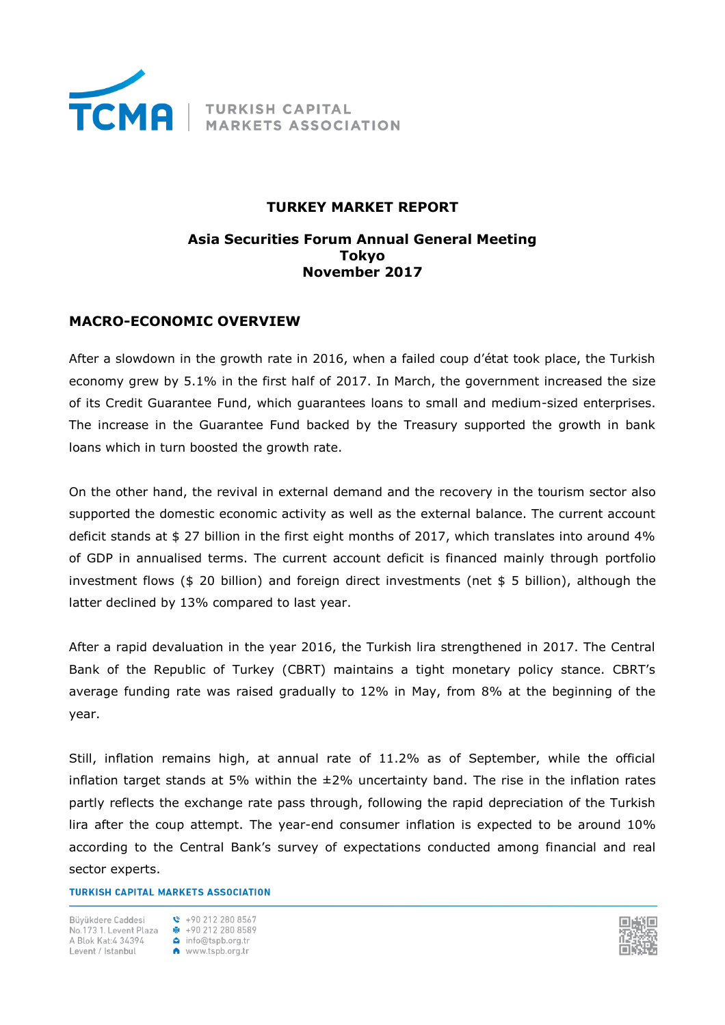

# **TURKEY MARKET REPORT**

## **Asia Securities Forum Annual General Meeting Tokyo November 2017**

# **MACRO-ECONOMIC OVERVIEW**

After a slowdown in the growth rate in 2016, when a failed coup d'état took place, the Turkish economy grew by 5.1% in the first half of 2017. In March, the government increased the size of its Credit Guarantee Fund, which guarantees loans to small and medium-sized enterprises. The increase in the Guarantee Fund backed by the Treasury supported the growth in bank loans which in turn boosted the growth rate.

On the other hand, the revival in external demand and the recovery in the tourism sector also supported the domestic economic activity as well as the external balance. The current account deficit stands at \$ 27 billion in the first eight months of 2017, which translates into around 4% of GDP in annualised terms. The current account deficit is financed mainly through portfolio investment flows (\$ 20 billion) and foreign direct investments (net \$ 5 billion), although the latter declined by 13% compared to last year.

After a rapid devaluation in the year 2016, the Turkish lira strengthened in 2017. The Central Bank of the Republic of Turkey (CBRT) maintains a tight monetary policy stance. CBRT's average funding rate was raised gradually to 12% in May, from 8% at the beginning of the year.

Still, inflation remains high, at annual rate of 11.2% as of September, while the official inflation target stands at 5% within the  $\pm 2\%$  uncertainty band. The rise in the inflation rates partly reflects the exchange rate pass through, following the rapid depreciation of the Turkish lira after the coup attempt. The year-end consumer inflation is expected to be around 10% according to the Central Bank's survey of expectations conducted among financial and real sector experts.

## **TURKISH CAPITAL MARKETS ASSOCIATION**

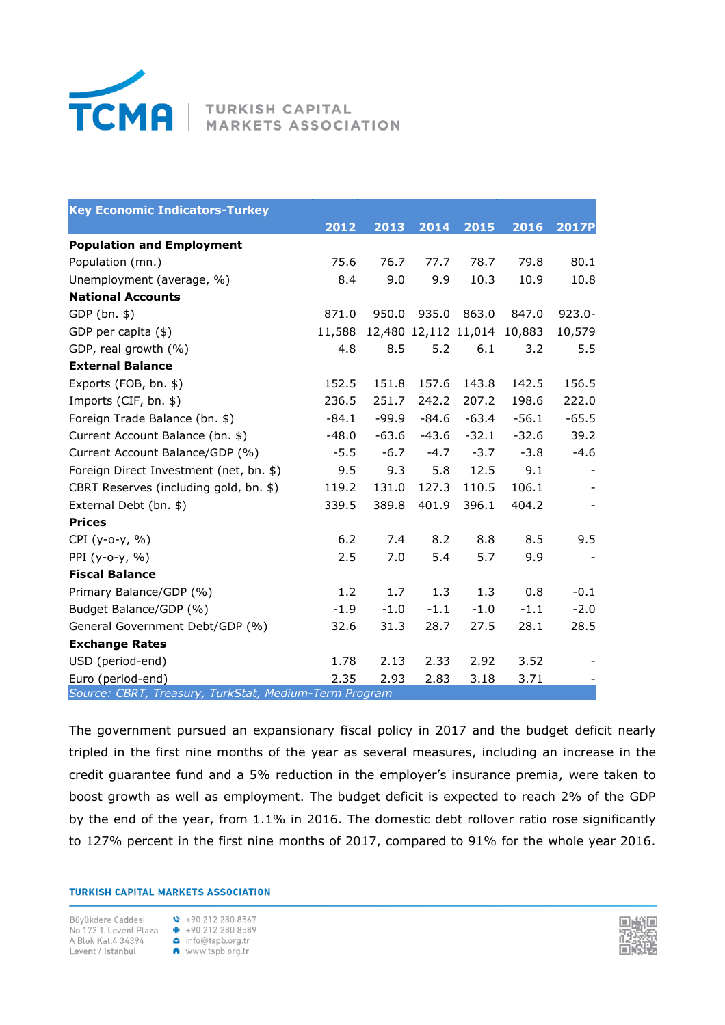

**MARKETS ASSOCIATION** 

| <b>Key Economic Indicators-Turkey</b>                 |         |         |         |                      |         |              |  |
|-------------------------------------------------------|---------|---------|---------|----------------------|---------|--------------|--|
|                                                       | 2012    | 2013    | 2014    | 2015                 | 2016    | <b>2017P</b> |  |
| <b>Population and Employment</b>                      |         |         |         |                      |         |              |  |
| Population (mn.)                                      | 75.6    | 76.7    | 77.7    | 78.7                 | 79.8    | 80.1         |  |
| Unemployment (average, %)                             | 8.4     | 9.0     | 9.9     | 10.3                 | 10.9    | 10.8         |  |
| <b>National Accounts</b>                              |         |         |         |                      |         |              |  |
| $GDP(bn.$ \$)                                         | 871.0   | 950.0   | 935.0   | 863.0                | 847.0   | $923.0 -$    |  |
| $GDP$ per capita $(*)$                                | 11,588  |         |         | 12,480 12,112 11,014 | 10,883  | 10,579       |  |
| GDP, real growth $(\%)$                               | 4.8     | 8.5     | 5.2     | 6.1                  | 3.2     | 5.5          |  |
| <b>External Balance</b>                               |         |         |         |                      |         |              |  |
| Exports (FOB, bn. \$)                                 | 152.5   | 151.8   | 157.6   | 143.8                | 142.5   | 156.5        |  |
| Imports (CIF, bn. $$$ )                               | 236.5   | 251.7   | 242.2   | 207.2                | 198.6   | 222.0        |  |
| Foreign Trade Balance (bn. \$)                        | $-84.1$ | -99.9   | $-84.6$ | -63.4                | $-56.1$ | $-65.5$      |  |
| Current Account Balance (bn. \$)                      | $-48.0$ | $-63.6$ | $-43.6$ | $-32.1$              | $-32.6$ | 39.2         |  |
| Current Account Balance/GDP (%)                       | $-5.5$  | $-6.7$  | $-4.7$  | $-3.7$               | $-3.8$  | $-4.6$       |  |
| Foreign Direct Investment (net, bn. \$)               | 9.5     | 9.3     | 5.8     | 12.5                 | 9.1     |              |  |
| CBRT Reserves (including gold, bn. \$)                | 119.2   | 131.0   | 127.3   | 110.5                | 106.1   |              |  |
| External Debt (bn. \$)                                | 339.5   | 389.8   | 401.9   | 396.1                | 404.2   |              |  |
| Prices                                                |         |         |         |                      |         |              |  |
| $ CPI (y-o-y, %)$                                     | 6.2     | 7.4     | 8.2     | 8.8                  | 8.5     | 9.5          |  |
| $PPI (y-o-y, %)$                                      | 2.5     | 7.0     | 5.4     | 5.7                  | 9.9     |              |  |
| <b>Fiscal Balance</b>                                 |         |         |         |                      |         |              |  |
| Primary Balance/GDP (%)                               | 1.2     | 1.7     | 1.3     | 1.3                  | 0.8     | $-0.1$       |  |
| Budget Balance/GDP (%)                                | $-1.9$  | $-1.0$  | $-1.1$  | $-1.0$               | $-1.1$  | $-2.0$       |  |
| General Government Debt/GDP (%)                       | 32.6    | 31.3    | 28.7    | 27.5                 | 28.1    | 28.5         |  |
| <b>Exchange Rates</b>                                 |         |         |         |                      |         |              |  |
| USD (period-end)                                      | 1.78    | 2.13    | 2.33    | 2.92                 | 3.52    |              |  |
| Euro (period-end)                                     | 2.35    | 2.93    | 2.83    | 3.18                 | 3.71    |              |  |
| Source: CBRT, Treasury, TurkStat, Medium-Term Program |         |         |         |                      |         |              |  |

The government pursued an expansionary fiscal policy in 2017 and the budget deficit nearly tripled in the first nine months of the year as several measures, including an increase in the credit guarantee fund and a 5% reduction in the employer's insurance premia, were taken to boost growth as well as employment. The budget deficit is expected to reach 2% of the GDP by the end of the year, from 1.1% in 2016. The domestic debt rollover ratio rose significantly to 127% percent in the first nine months of 2017, compared to 91% for the whole year 2016.

#### **TURKISH CAPITAL MARKETS ASSOCIATION**

Büyükdere Caddesi \ +90 212 280 8567 Buyukuere Catues<br>  $\overrightarrow{AB}$  +90 212 280 8589<br>
A Blok Kat:4 34394<br>
Levent / Istanbul<br>
A www.tspb.org.tr

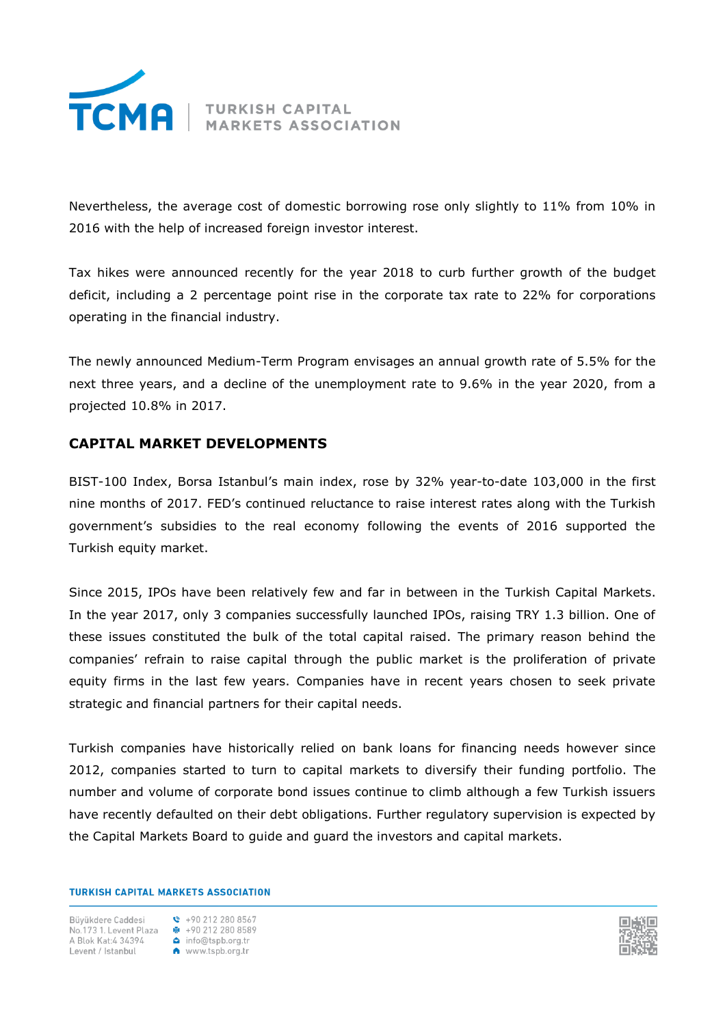

Nevertheless, the average cost of domestic borrowing rose only slightly to 11% from 10% in 2016 with the help of increased foreign investor interest.

Tax hikes were announced recently for the year 2018 to curb further growth of the budget deficit, including a 2 percentage point rise in the corporate tax rate to 22% for corporations operating in the financial industry.

The newly announced Medium-Term Program envisages an annual growth rate of 5.5% for the next three years, and a decline of the unemployment rate to 9.6% in the year 2020, from a projected 10.8% in 2017.

# **CAPITAL MARKET DEVELOPMENTS**

BIST-100 Index, Borsa Istanbul's main index, rose by 32% year-to-date 103,000 in the first nine months of 2017. FED's continued reluctance to raise interest rates along with the Turkish government's subsidies to the real economy following the events of 2016 supported the Turkish equity market.

Since 2015, IPOs have been relatively few and far in between in the Turkish Capital Markets. In the year 2017, only 3 companies successfully launched IPOs, raising TRY 1.3 billion. One of these issues constituted the bulk of the total capital raised. The primary reason behind the companies' refrain to raise capital through the public market is the proliferation of private equity firms in the last few years. Companies have in recent years chosen to seek private strategic and financial partners for their capital needs.

Turkish companies have historically relied on bank loans for financing needs however since 2012, companies started to turn to capital markets to diversify their funding portfolio. The number and volume of corporate bond issues continue to climb although a few Turkish issuers have recently defaulted on their debt obligations. Further regulatory supervision is expected by the Capital Markets Board to guide and guard the investors and capital markets.

## **TURKISH CAPITAL MARKETS ASSOCIATION**

Büvükdere Caddesi Dunia 1. Levent Plaza<br> **B** +90 212 280 8589<br>
A Blok Kat:4 34394 **△** info@tspb.org.tr No.173 1. Levent Plaza  $\bullet$  +90 212 280 858<br>
A Blok Kat:4 34394 **△** info@tspb.org.tr<br>
Levent / Istanbul **A** www.tspb.org.tr

 $\binom{1}{2}$  +90 212 280 8567

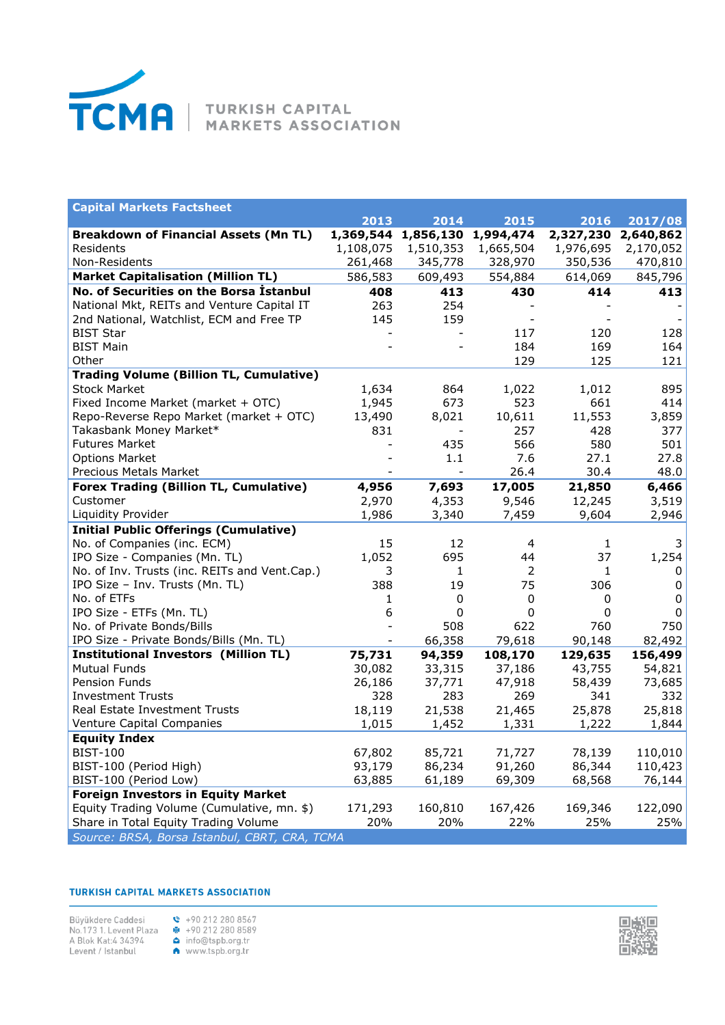

| <b>Capital Markets Factsheet</b>                                            |           |           |           |              |             |
|-----------------------------------------------------------------------------|-----------|-----------|-----------|--------------|-------------|
|                                                                             | 2013      | 2014      | 2015      | 2016         | 2017/08     |
| <b>Breakdown of Financial Assets (Mn TL)</b>                                | 1,369,544 | 1,856,130 | 1,994,474 | 2,327,230    | 2,640,862   |
| Residents                                                                   | 1,108,075 | 1,510,353 | 1,665,504 | 1,976,695    | 2,170,052   |
| Non-Residents                                                               | 261,468   | 345,778   | 328,970   | 350,536      | 470,810     |
| <b>Market Capitalisation (Million TL)</b>                                   | 586,583   | 609,493   | 554,884   | 614,069      | 845,796     |
| No. of Securities on the Borsa İstanbul                                     | 408       | 413       | 430       | 414          | 413         |
| National Mkt, REITs and Venture Capital IT                                  | 263       | 254       |           |              |             |
| 2nd National, Watchlist, ECM and Free TP                                    | 145       | 159       |           |              |             |
| <b>BIST Star</b>                                                            |           |           | 117       | 120          | 128         |
| <b>BIST Main</b>                                                            |           |           | 184       | 169          | 164         |
| Other                                                                       |           |           | 129       | 125          | 121         |
| <b>Trading Volume (Billion TL, Cumulative)</b>                              |           |           |           |              |             |
| <b>Stock Market</b>                                                         | 1,634     | 864       | 1,022     | 1,012        | 895         |
| Fixed Income Market (market + OTC)                                          | 1,945     | 673       | 523       | 661          | 414         |
| Repo-Reverse Repo Market (market + OTC)                                     | 13,490    | 8,021     | 10,611    | 11,553       | 3,859       |
| Takasbank Money Market*                                                     | 831       |           | 257       | 428          | 377         |
| <b>Futures Market</b>                                                       |           | 435       | 566       | 580          | 501         |
| <b>Options Market</b>                                                       |           | 1.1       | 7.6       | 27.1<br>30.4 | 27.8        |
| Precious Metals Market                                                      |           |           | 26.4      |              | 48.0        |
| <b>Forex Trading (Billion TL, Cumulative)</b>                               | 4,956     | 7,693     | 17,005    | 21,850       | 6,466       |
| Customer                                                                    | 2,970     | 4,353     | 9,546     | 12,245       | 3,519       |
| Liquidity Provider                                                          | 1,986     | 3,340     | 7,459     | 9,604        | 2,946       |
| <b>Initial Public Offerings (Cumulative)</b><br>No. of Companies (inc. ECM) | 15        | 12        |           |              | 3           |
| IPO Size - Companies (Mn. TL)                                               | 1,052     | 695       | 4<br>44   | 1<br>37      |             |
| No. of Inv. Trusts (inc. REITs and Vent.Cap.)                               | 3         | 1         | 2         | 1            | 1,254<br>0  |
| IPO Size - Inv. Trusts (Mn. TL)                                             | 388       | 19        | 75        | 306          | 0           |
| No. of ETFs                                                                 | 1         | 0         | 0         | 0            | 0           |
| IPO Size - ETFs (Mn. TL)                                                    | 6         | 0         | 0         | 0            | $\mathbf 0$ |
| No. of Private Bonds/Bills                                                  |           | 508       | 622       | 760          | 750         |
| IPO Size - Private Bonds/Bills (Mn. TL)                                     |           | 66,358    | 79,618    | 90,148       | 82,492      |
| <b>Institutional Investors (Million TL)</b>                                 | 75,731    | 94,359    | 108,170   | 129,635      | 156,499     |
| <b>Mutual Funds</b>                                                         | 30,082    | 33,315    | 37,186    | 43,755       | 54,821      |
| Pension Funds                                                               | 26,186    | 37,771    | 47,918    | 58,439       | 73,685      |
| <b>Investment Trusts</b>                                                    | 328       | 283       | 269       | 341          | 332         |
| Real Estate Investment Trusts                                               | 18,119    | 21,538    | 21,465    | 25,878       | 25,818      |
| Venture Capital Companies                                                   | 1,015     | 1,452     | 1,331     | 1,222        | 1,844       |
| <b>Equity Index</b>                                                         |           |           |           |              |             |
| <b>BIST-100</b>                                                             | 67,802    | 85,721    | 71,727    | 78,139       | 110,010     |
| BIST-100 (Period High)                                                      | 93,179    | 86,234    | 91,260    | 86,344       | 110,423     |
| BIST-100 (Period Low)                                                       | 63,885    | 61,189    | 69,309    | 68,568       | 76,144      |
| <b>Foreign Investors in Equity Market</b>                                   |           |           |           |              |             |
| Equity Trading Volume (Cumulative, mn. \$)                                  | 171,293   | 160,810   | 167,426   | 169,346      | 122,090     |
| Share in Total Equity Trading Volume                                        | 20%       | 20%       | 22%       | 25%          | 25%         |
| Source: BRSA, Borsa Istanbul, CBRT, CRA, TCMA                               |           |           |           |              |             |

## **TURKISH CAPITAL MARKETS ASSOCIATION**

Büyükdere Caddesi<br>
No.173 1. Levent Plaza<br>
A Blok Kat:4 34394<br>
Levent / Istanbul<br> **A** 

|  |                  | +90 212 280 8567 |
|--|------------------|------------------|
|  |                  | +90 212 280 8589 |
|  | info@tspb.org.tr |                  |
|  | www.tspb.org.tr  |                  |
|  |                  |                  |

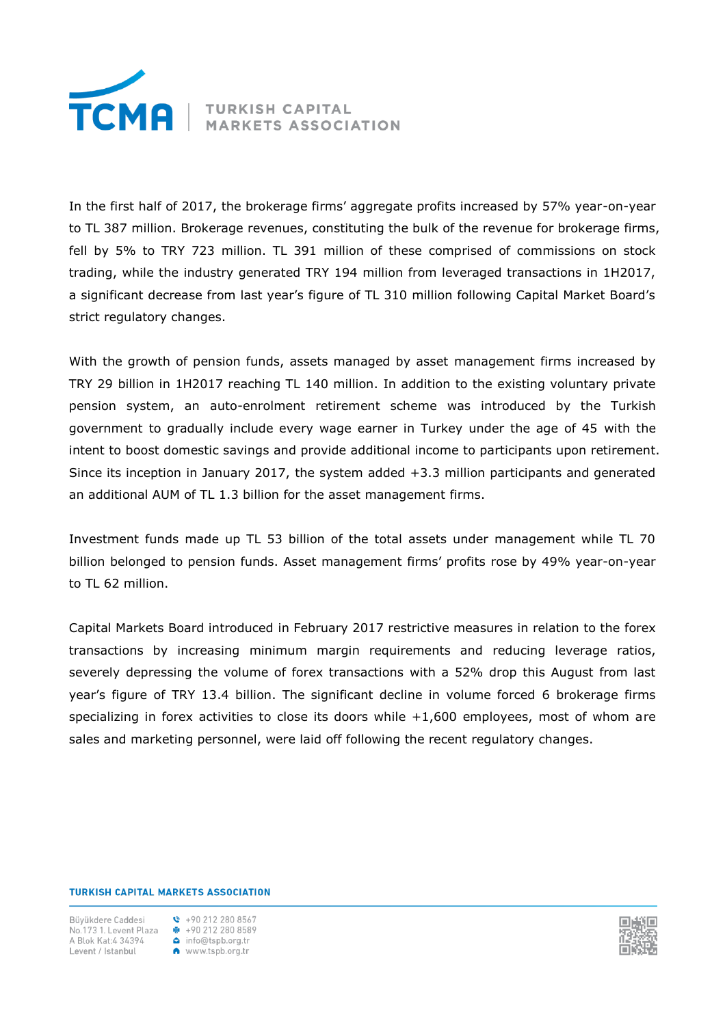

In the first half of 2017, the brokerage firms' aggregate profits increased by 57% year-on-year to TL 387 million. Brokerage revenues, constituting the bulk of the revenue for brokerage firms, fell by 5% to TRY 723 million. TL 391 million of these comprised of commissions on stock trading, while the industry generated TRY 194 million from leveraged transactions in 1H2017, a significant decrease from last year's figure of TL 310 million following Capital Market Board's strict regulatory changes.

With the growth of pension funds, assets managed by asset management firms increased by TRY 29 billion in 1H2017 reaching TL 140 million. In addition to the existing voluntary private pension system, an auto-enrolment retirement scheme was introduced by the Turkish government to gradually include every wage earner in Turkey under the age of 45 with the intent to boost domestic savings and provide additional income to participants upon retirement. Since its inception in January 2017, the system added +3.3 million participants and generated an additional AUM of TL 1.3 billion for the asset management firms.

Investment funds made up TL 53 billion of the total assets under management while TL 70 billion belonged to pension funds. Asset management firms' profits rose by 49% year-on-year to TL 62 million.

Capital Markets Board introduced in February 2017 restrictive measures in relation to the forex transactions by increasing minimum margin requirements and reducing leverage ratios, severely depressing the volume of forex transactions with a 52% drop this August from last year's figure of TRY 13.4 billion. The significant decline in volume forced 6 brokerage firms specializing in forex activities to close its doors while +1,600 employees, most of whom are sales and marketing personnel, were laid off following the recent regulatory changes.

#### **TURKISH CAPITAL MARKETS ASSOCIATION**

Büvükdere Caddesi A Blok Kat:4 34394 Levent / Istanbul



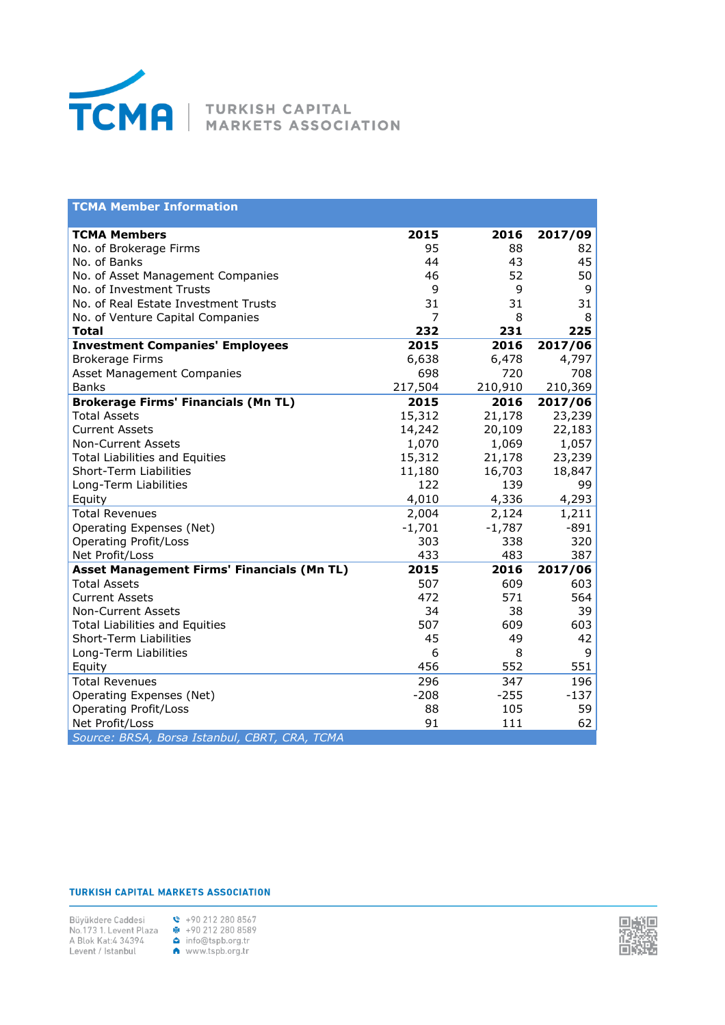

| <b>TCMA Member Information</b>                |            |            |            |
|-----------------------------------------------|------------|------------|------------|
| <b>TCMA Members</b>                           | 2015       | 2016       | 2017/09    |
| No. of Brokerage Firms                        | 95         | 88         | 82         |
| No. of Banks                                  | 44         | 43         | 45         |
| No. of Asset Management Companies             | 46         | 52         | 50         |
| No. of Investment Trusts                      | 9          | 9          | 9          |
| No. of Real Estate Investment Trusts          | 31         | 31         | 31         |
| No. of Venture Capital Companies              | 7          | 8          | 8          |
| <b>Total</b>                                  | 232        | 231        | 225        |
| <b>Investment Companies' Employees</b>        | 2015       | 2016       | 2017/06    |
| <b>Brokerage Firms</b>                        | 6,638      | 6,478      | 4,797      |
| Asset Management Companies                    | 698        | 720        | 708        |
| <b>Banks</b>                                  | 217,504    | 210,910    | 210,369    |
| <b>Brokerage Firms' Financials (Mn TL)</b>    | 2015       | 2016       | 2017/06    |
| <b>Total Assets</b>                           | 15,312     | 21,178     | 23,239     |
| <b>Current Assets</b>                         | 14,242     | 20,109     | 22,183     |
| <b>Non-Current Assets</b>                     | 1,070      | 1,069      | 1,057      |
| <b>Total Liabilities and Equities</b>         | 15,312     | 21,178     | 23,239     |
| <b>Short-Term Liabilities</b>                 | 11,180     | 16,703     | 18,847     |
| Long-Term Liabilities                         | 122        | 139        | 99         |
| Equity                                        | 4,010      | 4,336      | 4,293      |
| <b>Total Revenues</b>                         | 2,004      | 2,124      | 1,211      |
| Operating Expenses (Net)                      | $-1,701$   | $-1,787$   | $-891$     |
| <b>Operating Profit/Loss</b>                  | 303        | 338        | 320        |
| Net Profit/Loss                               | 433        | 483        | 387        |
| Asset Management Firms' Financials (Mn TL)    | 2015       | 2016       | 2017/06    |
| <b>Total Assets</b><br><b>Current Assets</b>  | 507<br>472 | 609<br>571 | 603<br>564 |
| <b>Non-Current Assets</b>                     | 34         | 38         | 39         |
| <b>Total Liabilities and Equities</b>         | 507        | 609        | 603        |
| Short-Term Liabilities                        | 45         | 49         | 42         |
| Long-Term Liabilities                         | 6          | 8          | 9          |
| Equity                                        | 456        | 552        | 551        |
| <b>Total Revenues</b>                         | 296        | 347        | 196        |
| Operating Expenses (Net)                      | $-208$     | $-255$     | $-137$     |
| <b>Operating Profit/Loss</b>                  | 88         | 105        | 59         |
| Net Profit/Loss                               | 91         | 111        | 62         |
| Source: BRSA, Borsa Istanbul, CBRT, CRA, TCMA |            |            |            |

#### **TURKISH CAPITAL MARKETS ASSOCIATION**



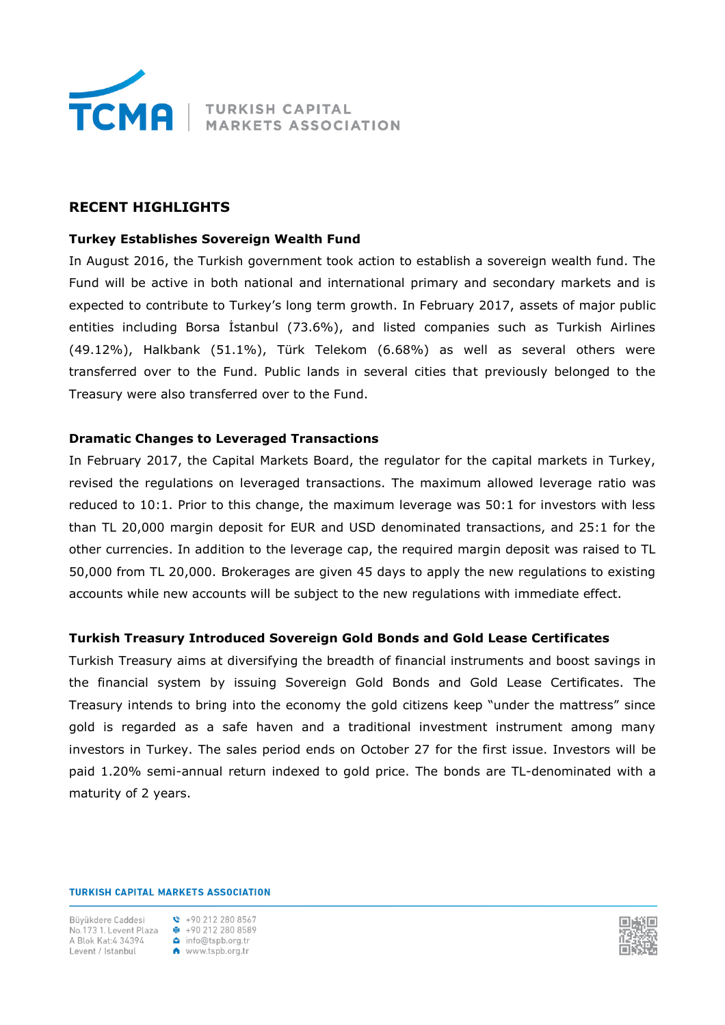

# **RECENT HIGHLIGHTS**

## **Turkey Establishes Sovereign Wealth Fund**

In August 2016, the Turkish government took action to establish a sovereign wealth fund. The Fund will be active in both national and international primary and secondary markets and is expected to contribute to Turkey's long term growth. In February 2017, assets of major public entities including Borsa İstanbul (73.6%), and listed companies such as Turkish Airlines (49.12%), Halkbank (51.1%), Türk Telekom (6.68%) as well as several others were transferred over to the Fund. Public lands in several cities that previously belonged to the Treasury were also transferred over to the Fund.

## **Dramatic Changes to Leveraged Transactions**

In February 2017, the Capital Markets Board, the regulator for the capital markets in Turkey, revised the regulations on leveraged transactions. The maximum allowed leverage ratio was reduced to 10:1. Prior to this change, the maximum leverage was 50:1 for investors with less than TL 20,000 margin deposit for EUR and USD denominated transactions, and 25:1 for the other currencies. In addition to the leverage cap, the required margin deposit was raised to TL 50,000 from TL 20,000. Brokerages are given 45 days to apply the new regulations to existing accounts while new accounts will be subject to the new regulations with immediate effect.

## **Turkish Treasury Introduced Sovereign Gold Bonds and Gold Lease Certificates**

Turkish Treasury aims at diversifying the breadth of financial instruments and boost savings in the financial system by issuing Sovereign Gold Bonds and Gold Lease Certificates. The Treasury intends to bring into the economy the gold citizens keep "under the mattress" since gold is regarded as a safe haven and a traditional investment instrument among many investors in Turkey. The sales period ends on October 27 for the first issue. Investors will be paid 1.20% semi-annual return indexed to gold price. The bonds are TL-denominated with a maturity of 2 years.

**TURKISH CAPITAL MARKETS ASSOCIATION** 

Büvükdere Caddesi No. 173 1. Levent Plaza  $\frac{1}{2}$  +90 212 280 8589 A Blok Kat:4 34394 www.tspb.org.tr Levent / Istanbul

 $\binom{1}{2}$  +90 212 280 8567 info@tspb.org.tr